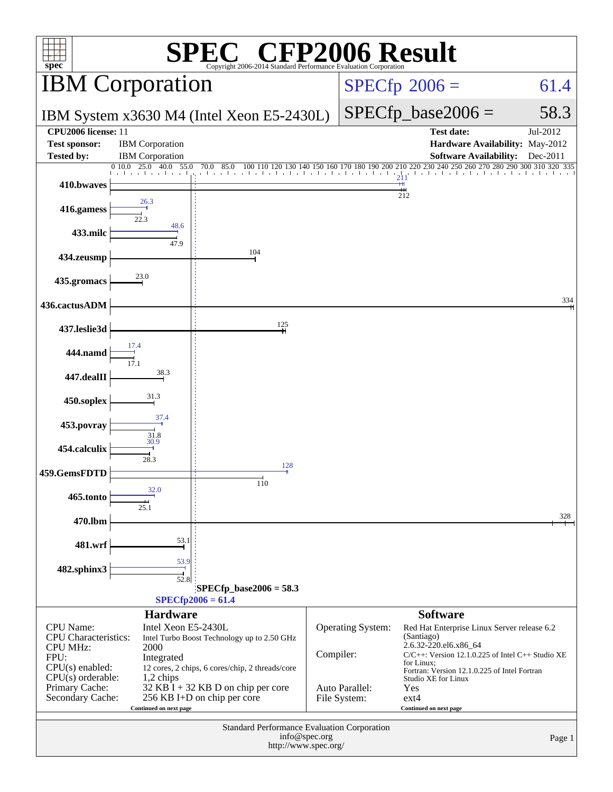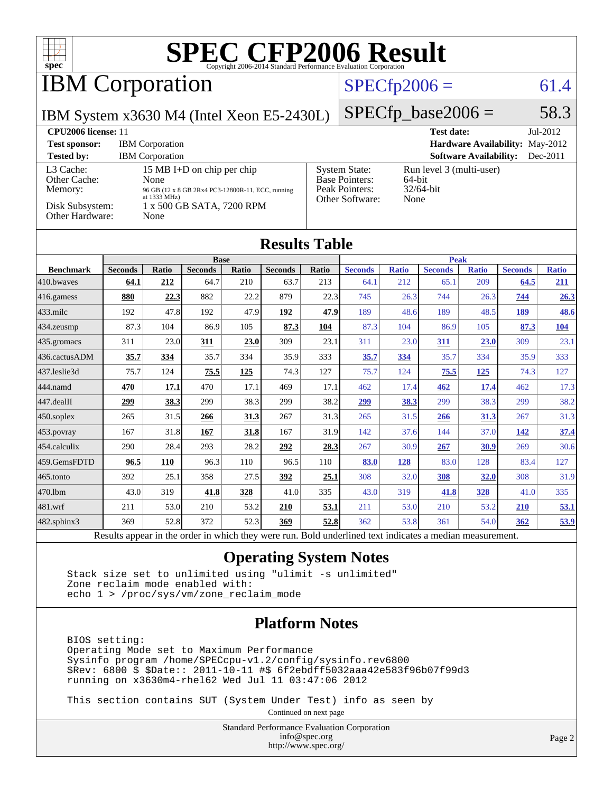

## IBM Corporation

### $SPECfp2006 = 61.4$  $SPECfp2006 = 61.4$

IBM System x3630 M4 (Intel Xeon E5-2430L)

 $SPECTp\_base2006 = 58.3$ 

| CPU <sub>2006</sub> license: 11                                            |                                                                                                                                                         |                                                                                    | $Jul-2012$<br><b>Test date:</b>                               |
|----------------------------------------------------------------------------|---------------------------------------------------------------------------------------------------------------------------------------------------------|------------------------------------------------------------------------------------|---------------------------------------------------------------|
| <b>Test sponsor:</b>                                                       | <b>IBM</b> Corporation                                                                                                                                  | <b>Hardware Availability: May-2012</b>                                             |                                                               |
| <b>Tested by:</b>                                                          | <b>IBM</b> Corporation                                                                                                                                  |                                                                                    | <b>Software Availability:</b><br>$Dec-2011$                   |
| L3 Cache:<br>Other Cache:<br>Memory:<br>Disk Subsystem:<br>Other Hardware: | 15 MB I+D on chip per chip<br>None<br>96 GB (12 x 8 GB 2Rx4 PC3-12800R-11, ECC, running<br>at $1333 \text{ MHz}$ )<br>1 x 500 GB SATA, 7200 RPM<br>None | <b>System State:</b><br><b>Base Pointers:</b><br>Peak Pointers:<br>Other Software: | Run level 3 (multi-user)<br>$64$ -bit<br>$32/64$ -bit<br>None |

#### **[Results Table](http://www.spec.org/auto/cpu2006/Docs/result-fields.html#ResultsTable)**

|                        |                | <b>Base</b> |                                                                                            |       |                |           | <b>Peak</b>            |                 |                |              |                |              |
|------------------------|----------------|-------------|--------------------------------------------------------------------------------------------|-------|----------------|-----------|------------------------|-----------------|----------------|--------------|----------------|--------------|
| <b>Benchmark</b>       | <b>Seconds</b> | Ratio       | <b>Seconds</b>                                                                             | Ratio | <b>Seconds</b> | Ratio     | <b>Seconds</b>         | <b>Ratio</b>    | <b>Seconds</b> | <b>Ratio</b> | <b>Seconds</b> | <b>Ratio</b> |
| 410.bwayes             | 64.1           | 212         | 64.7                                                                                       | 210   | 63.7           | 213       | 64.1                   | 212             | 65.1           | 209          | 64.5           | 211          |
| $416$ .gamess          | 880            | 22.3        | 882                                                                                        | 22.2  | 879            | 22.3      | 745                    | 26.3            | 744            | 26.3         | 744            | 26.3         |
| $433$ .milc            | 192            | 47.8        | 192                                                                                        | 47.9  | 192            | 47.9      | 189                    | 48.6            | 189            | 48.5         | 189            | 48.6         |
| 434.zeusmp             | 87.3           | 104         | 86.9                                                                                       | 105   | 87.3           | 104       | 87.3                   | 104             | 86.9           | 105          | 87.3           | <b>104</b>   |
| 435.gromacs            | 311            | 23.0        | <b>311</b>                                                                                 | 23.0  | 309            | 23.1      | 311                    | 23.0            | 311            | 23.0         | 309            | 23.1         |
| 436.cactusADM          | 35.7           | 334         | 35.7                                                                                       | 334   | 35.9           | 333       | 35.7                   | 334             | 35.7           | 334          | 35.9           | 333          |
| 437.leslie3d           | 75.7           | 124         | 75.5                                                                                       | 125   | 74.3           | 127       | 75.7                   | 124             | 75.5           | 125          | 74.3           | 127          |
| 444.namd               | 470            | 17.1        | 470                                                                                        | 17.1  | 469            | 17.1      | 462                    | 17.4            | 462            | <u>17.4</u>  | 462            | 17.3         |
| $ 447 \text{.}$ dealII | 299            | 38.3        | 299                                                                                        | 38.3  | 299            | 38.2      | <u>299</u>             | <b>38.3</b>     | 299            | 38.3         | 299            | 38.2         |
| $450$ .soplex          | 265            | 31.5        | 266                                                                                        | 31.3  | 267            | 31.3      | 265                    | 31.5            | 266            | <u>31.3</u>  | 267            | 31.3         |
| 453.povray             | 167            | 31.8        | 167                                                                                        | 31.8  | 167            | 31.9      | 142                    | 37.6            | 144            | 37.0         | <u>142</u>     | 37.4         |
| 454.calculix           | 290            | 28.4        | 293                                                                                        | 28.2  | 292            | 28.3      | 267                    | 30.9            | <b>267</b>     | 30.9         | 269            | 30.6         |
| 459.GemsFDTD           | 96.5           | 110         | 96.3                                                                                       | 110   | 96.5           | 110       | 83.0                   | 128             | 83.0           | 128          | 83.4           | 127          |
| $465$ .tonto           | 392            | 25.1        | 358                                                                                        | 27.5  | 392            | 25.1      | 308                    | 32.0            | 308            | <b>32.0</b>  | 308            | 31.9         |
| 470.lbm                | 43.0           | 319         | 41.8                                                                                       | 328   | 41.0           | 335       | 43.0                   | 319             | 41.8           | <b>328</b>   | 41.0           | 335          |
| 481.wrf                | 211            | 53.0        | 210                                                                                        | 53.2  | 210            | 53.1      | 211                    | 53.0            | 210            | 53.2         | <b>210</b>     | 53.1         |
| 482.sphinx3            | 369            | 52.8        | 372                                                                                        | 52.3  | 369            | 52.8      | 362                    | 53.8            | 361            | 54.0         | 362            | 53.9         |
| $\mathbf{r}$           |                |             | $\mathbf{1}$ $\mathbf{1}$ $\mathbf{1}$ $\mathbf{1}$ $\mathbf{1}$ $\mathbf{1}$ $\mathbf{1}$ |       |                | $T = 1.1$ | 1.11<br>$\blacksquare$ | $\cdot$ $\cdot$ | $\cdot$        |              |                |              |

Results appear in the [order in which they were run.](http://www.spec.org/auto/cpu2006/Docs/result-fields.html#RunOrder) Bold underlined text [indicates a median measurement.](http://www.spec.org/auto/cpu2006/Docs/result-fields.html#Median)

#### **[Operating System Notes](http://www.spec.org/auto/cpu2006/Docs/result-fields.html#OperatingSystemNotes)**

 Stack size set to unlimited using "ulimit -s unlimited" Zone reclaim mode enabled with: echo 1 > /proc/sys/vm/zone\_reclaim\_mode

#### **[Platform Notes](http://www.spec.org/auto/cpu2006/Docs/result-fields.html#PlatformNotes)**

 BIOS setting: Operating Mode set to Maximum Performance Sysinfo program /home/SPECcpu-v1.2/config/sysinfo.rev6800 \$Rev: 6800 \$ \$Date:: 2011-10-11 #\$ 6f2ebdff5032aaa42e583f96b07f99d3 running on x3630m4-rhel62 Wed Jul 11 03:47:06 2012

This section contains SUT (System Under Test) info as seen by

Continued on next page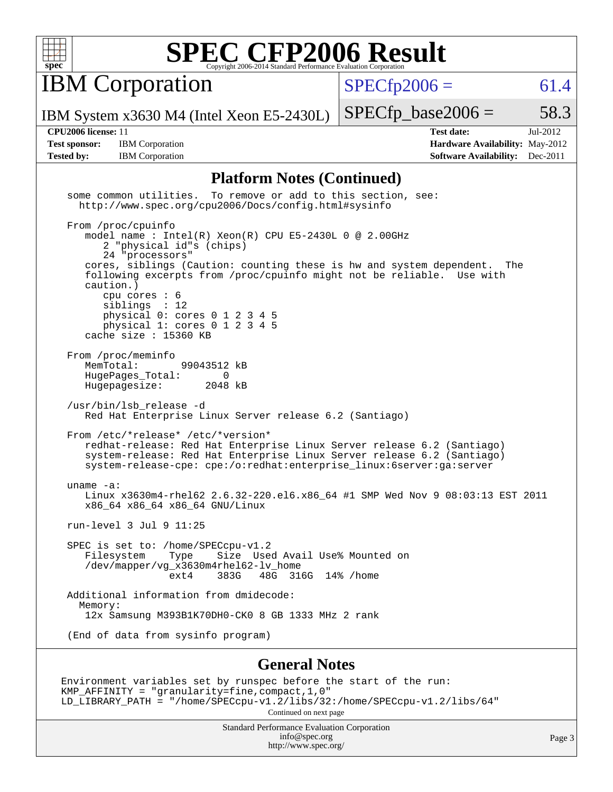

**IBM** Corporation

 $SPECfp2006 = 61.4$  $SPECfp2006 = 61.4$ 

IBM System x3630 M4 (Intel Xeon E5-2430L)

**[Test sponsor:](http://www.spec.org/auto/cpu2006/Docs/result-fields.html#Testsponsor)** IBM Corporation **[Hardware Availability:](http://www.spec.org/auto/cpu2006/Docs/result-fields.html#HardwareAvailability)** May-2012 **[Tested by:](http://www.spec.org/auto/cpu2006/Docs/result-fields.html#Testedby)** IBM Corporation **[Software Availability:](http://www.spec.org/auto/cpu2006/Docs/result-fields.html#SoftwareAvailability)** Dec-2011

**[CPU2006 license:](http://www.spec.org/auto/cpu2006/Docs/result-fields.html#CPU2006license)** 11 **[Test date:](http://www.spec.org/auto/cpu2006/Docs/result-fields.html#Testdate)** Jul-2012

 $SPECTp\_base2006 = 58.3$ 

#### **[Platform Notes \(Continued\)](http://www.spec.org/auto/cpu2006/Docs/result-fields.html#PlatformNotes)**

Standard Performance Evaluation Corporation some common utilities. To remove or add to this section, see: <http://www.spec.org/cpu2006/Docs/config.html#sysinfo> From /proc/cpuinfo model name : Intel(R) Xeon(R) CPU E5-2430L 0 @ 2.00GHz 2 "physical id"s (chips) 24 "processors" cores, siblings (Caution: counting these is hw and system dependent. The following excerpts from /proc/cpuinfo might not be reliable. Use with caution.) cpu cores : 6 siblings : 12 physical 0: cores 0 1 2 3 4 5 physical 1: cores 0 1 2 3 4 5 cache size : 15360 KB From /proc/meminfo MemTotal: 99043512 kB HugePages\_Total: 0<br>Hugepagesize: 2048 kB Hugepagesize: /usr/bin/lsb\_release -d Red Hat Enterprise Linux Server release 6.2 (Santiago) From /etc/\*release\* /etc/\*version\* redhat-release: Red Hat Enterprise Linux Server release 6.2 (Santiago) system-release: Red Hat Enterprise Linux Server release 6.2 (Santiago) system-release-cpe: cpe:/o:redhat:enterprise\_linux:6server:ga:server uname -a: Linux x3630m4-rhel62 2.6.32-220.el6.x86\_64 #1 SMP Wed Nov 9 08:03:13 EST 2011 x86\_64 x86\_64 x86\_64 GNU/Linux run-level 3 Jul 9 11:25 SPEC is set to: /home/SPECcpu-v1.2 Filesystem Type Size Used Avail Use% Mounted on /dev/mapper/vg\_x3630m4rhel62-lv\_home 48G 316G 14% /home Additional information from dmidecode: Memory: 12x Samsung M393B1K70DH0-CK0 8 GB 1333 MHz 2 rank (End of data from sysinfo program) **[General Notes](http://www.spec.org/auto/cpu2006/Docs/result-fields.html#GeneralNotes)** Environment variables set by runspec before the start of the run: KMP\_AFFINITY = "granularity=fine,compact,1,0" LD\_LIBRARY\_PATH = "/home/SPECcpu-v1.2/libs/32:/home/SPECcpu-v1.2/libs/64" Continued on next page

[info@spec.org](mailto:info@spec.org) <http://www.spec.org/>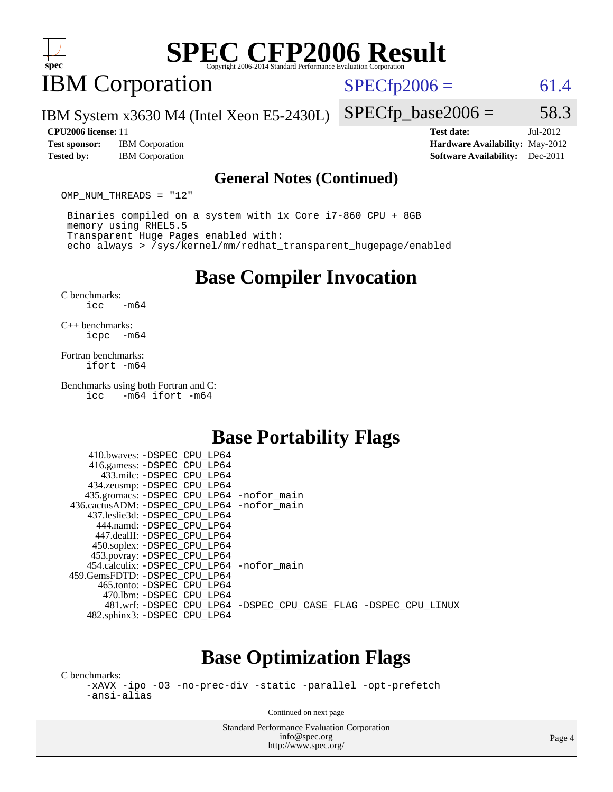

## IBM Corporation

 $SPECTp2006 = 61.4$ 

IBM System x3630 M4 (Intel Xeon E5-2430L)

**[Test sponsor:](http://www.spec.org/auto/cpu2006/Docs/result-fields.html#Testsponsor)** IBM Corporation **[Hardware Availability:](http://www.spec.org/auto/cpu2006/Docs/result-fields.html#HardwareAvailability)** May-2012 **[Tested by:](http://www.spec.org/auto/cpu2006/Docs/result-fields.html#Testedby)** IBM Corporation **[Software Availability:](http://www.spec.org/auto/cpu2006/Docs/result-fields.html#SoftwareAvailability)** Dec-2011

 $SPECTp\_base2006 = 58.3$ 

**[CPU2006 license:](http://www.spec.org/auto/cpu2006/Docs/result-fields.html#CPU2006license)** 11 **[Test date:](http://www.spec.org/auto/cpu2006/Docs/result-fields.html#Testdate)** Jul-2012

#### **[General Notes \(Continued\)](http://www.spec.org/auto/cpu2006/Docs/result-fields.html#GeneralNotes)**

OMP NUM THREADS = "12"

 Binaries compiled on a system with 1x Core i7-860 CPU + 8GB memory using RHEL5.5 Transparent Huge Pages enabled with: echo always > /sys/kernel/mm/redhat\_transparent\_hugepage/enabled

**[Base Compiler Invocation](http://www.spec.org/auto/cpu2006/Docs/result-fields.html#BaseCompilerInvocation)**

[C benchmarks](http://www.spec.org/auto/cpu2006/Docs/result-fields.html#Cbenchmarks):  $\text{icc}$   $-\text{m64}$ 

[C++ benchmarks:](http://www.spec.org/auto/cpu2006/Docs/result-fields.html#CXXbenchmarks) [icpc -m64](http://www.spec.org/cpu2006/results/res2012q3/cpu2006-20120725-23865.flags.html#user_CXXbase_intel_icpc_64bit_bedb90c1146cab66620883ef4f41a67e)

[Fortran benchmarks](http://www.spec.org/auto/cpu2006/Docs/result-fields.html#Fortranbenchmarks): [ifort -m64](http://www.spec.org/cpu2006/results/res2012q3/cpu2006-20120725-23865.flags.html#user_FCbase_intel_ifort_64bit_ee9d0fb25645d0210d97eb0527dcc06e)

[Benchmarks using both Fortran and C](http://www.spec.org/auto/cpu2006/Docs/result-fields.html#BenchmarksusingbothFortranandC):<br>icc -m64 ifort -m64  $-m64$  ifort  $-m64$ 

### **[Base Portability Flags](http://www.spec.org/auto/cpu2006/Docs/result-fields.html#BasePortabilityFlags)**

|  | 410.bwaves: -DSPEC CPU LP64                  |                                                                |  |
|--|----------------------------------------------|----------------------------------------------------------------|--|
|  | 416.gamess: -DSPEC_CPU_LP64                  |                                                                |  |
|  | 433.milc: -DSPEC CPU LP64                    |                                                                |  |
|  | 434.zeusmp: - DSPEC_CPU_LP64                 |                                                                |  |
|  | 435.gromacs: -DSPEC_CPU_LP64 -nofor_main     |                                                                |  |
|  | 436.cactusADM: - DSPEC CPU LP64 - nofor main |                                                                |  |
|  | 437.leslie3d: -DSPEC CPU LP64                |                                                                |  |
|  | 444.namd: -DSPEC CPU LP64                    |                                                                |  |
|  | 447.dealII: -DSPEC CPU LP64                  |                                                                |  |
|  | 450.soplex: -DSPEC_CPU_LP64                  |                                                                |  |
|  | 453.povray: -DSPEC_CPU_LP64                  |                                                                |  |
|  | 454.calculix: - DSPEC CPU LP64 - nofor main  |                                                                |  |
|  | 459. GemsFDTD: - DSPEC CPU LP64              |                                                                |  |
|  | 465.tonto: - DSPEC CPU LP64                  |                                                                |  |
|  | 470.1bm: - DSPEC CPU LP64                    |                                                                |  |
|  |                                              | 481.wrf: -DSPEC CPU_LP64 -DSPEC_CPU_CASE_FLAG -DSPEC_CPU_LINUX |  |
|  | 482.sphinx3: -DSPEC_CPU_LP64                 |                                                                |  |
|  |                                              |                                                                |  |

### **[Base Optimization Flags](http://www.spec.org/auto/cpu2006/Docs/result-fields.html#BaseOptimizationFlags)**

[C benchmarks](http://www.spec.org/auto/cpu2006/Docs/result-fields.html#Cbenchmarks):

[-xAVX](http://www.spec.org/cpu2006/results/res2012q3/cpu2006-20120725-23865.flags.html#user_CCbase_f-xAVX) [-ipo](http://www.spec.org/cpu2006/results/res2012q3/cpu2006-20120725-23865.flags.html#user_CCbase_f-ipo) [-O3](http://www.spec.org/cpu2006/results/res2012q3/cpu2006-20120725-23865.flags.html#user_CCbase_f-O3) [-no-prec-div](http://www.spec.org/cpu2006/results/res2012q3/cpu2006-20120725-23865.flags.html#user_CCbase_f-no-prec-div) [-static](http://www.spec.org/cpu2006/results/res2012q3/cpu2006-20120725-23865.flags.html#user_CCbase_f-static) [-parallel](http://www.spec.org/cpu2006/results/res2012q3/cpu2006-20120725-23865.flags.html#user_CCbase_f-parallel) [-opt-prefetch](http://www.spec.org/cpu2006/results/res2012q3/cpu2006-20120725-23865.flags.html#user_CCbase_f-opt-prefetch) [-ansi-alias](http://www.spec.org/cpu2006/results/res2012q3/cpu2006-20120725-23865.flags.html#user_CCbase_f-ansi-alias)

Continued on next page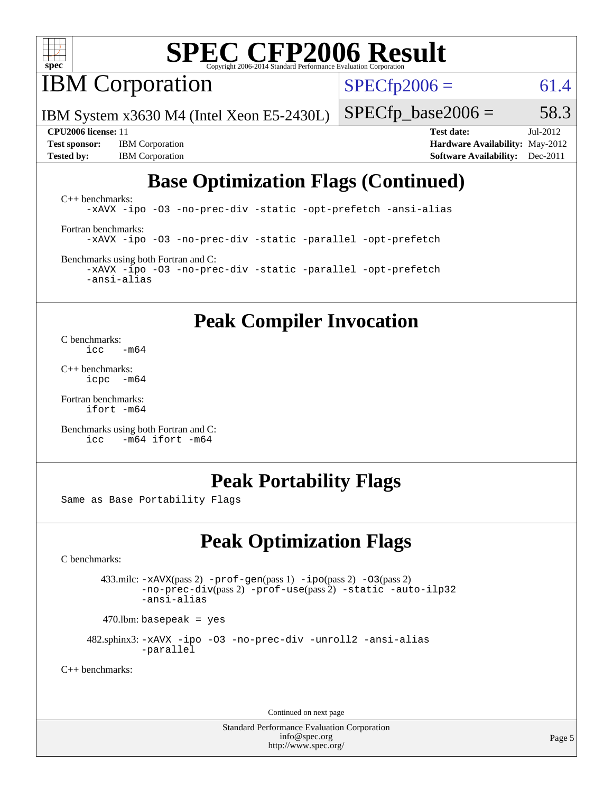

**IBM** Corporation

 $SPECfp2006 = 61.4$  $SPECfp2006 = 61.4$ 

IBM System x3630 M4 (Intel Xeon E5-2430L)

 $SPECTp\_base2006 = 58.3$ 

**[Test sponsor:](http://www.spec.org/auto/cpu2006/Docs/result-fields.html#Testsponsor)** IBM Corporation **[Hardware Availability:](http://www.spec.org/auto/cpu2006/Docs/result-fields.html#HardwareAvailability)** May-2012 **[Tested by:](http://www.spec.org/auto/cpu2006/Docs/result-fields.html#Testedby)** IBM Corporation **[Software Availability:](http://www.spec.org/auto/cpu2006/Docs/result-fields.html#SoftwareAvailability)** Dec-2011

**[CPU2006 license:](http://www.spec.org/auto/cpu2006/Docs/result-fields.html#CPU2006license)** 11 **[Test date:](http://www.spec.org/auto/cpu2006/Docs/result-fields.html#Testdate)** Jul-2012

## **[Base Optimization Flags \(Continued\)](http://www.spec.org/auto/cpu2006/Docs/result-fields.html#BaseOptimizationFlags)**

[C++ benchmarks:](http://www.spec.org/auto/cpu2006/Docs/result-fields.html#CXXbenchmarks) [-xAVX](http://www.spec.org/cpu2006/results/res2012q3/cpu2006-20120725-23865.flags.html#user_CXXbase_f-xAVX) [-ipo](http://www.spec.org/cpu2006/results/res2012q3/cpu2006-20120725-23865.flags.html#user_CXXbase_f-ipo) [-O3](http://www.spec.org/cpu2006/results/res2012q3/cpu2006-20120725-23865.flags.html#user_CXXbase_f-O3) [-no-prec-div](http://www.spec.org/cpu2006/results/res2012q3/cpu2006-20120725-23865.flags.html#user_CXXbase_f-no-prec-div) [-static](http://www.spec.org/cpu2006/results/res2012q3/cpu2006-20120725-23865.flags.html#user_CXXbase_f-static) [-opt-prefetch](http://www.spec.org/cpu2006/results/res2012q3/cpu2006-20120725-23865.flags.html#user_CXXbase_f-opt-prefetch) [-ansi-alias](http://www.spec.org/cpu2006/results/res2012q3/cpu2006-20120725-23865.flags.html#user_CXXbase_f-ansi-alias) [Fortran benchmarks](http://www.spec.org/auto/cpu2006/Docs/result-fields.html#Fortranbenchmarks): [-xAVX](http://www.spec.org/cpu2006/results/res2012q3/cpu2006-20120725-23865.flags.html#user_FCbase_f-xAVX) [-ipo](http://www.spec.org/cpu2006/results/res2012q3/cpu2006-20120725-23865.flags.html#user_FCbase_f-ipo) [-O3](http://www.spec.org/cpu2006/results/res2012q3/cpu2006-20120725-23865.flags.html#user_FCbase_f-O3) [-no-prec-div](http://www.spec.org/cpu2006/results/res2012q3/cpu2006-20120725-23865.flags.html#user_FCbase_f-no-prec-div) [-static](http://www.spec.org/cpu2006/results/res2012q3/cpu2006-20120725-23865.flags.html#user_FCbase_f-static) [-parallel](http://www.spec.org/cpu2006/results/res2012q3/cpu2006-20120725-23865.flags.html#user_FCbase_f-parallel) [-opt-prefetch](http://www.spec.org/cpu2006/results/res2012q3/cpu2006-20120725-23865.flags.html#user_FCbase_f-opt-prefetch)

[Benchmarks using both Fortran and C](http://www.spec.org/auto/cpu2006/Docs/result-fields.html#BenchmarksusingbothFortranandC): [-xAVX](http://www.spec.org/cpu2006/results/res2012q3/cpu2006-20120725-23865.flags.html#user_CC_FCbase_f-xAVX) [-ipo](http://www.spec.org/cpu2006/results/res2012q3/cpu2006-20120725-23865.flags.html#user_CC_FCbase_f-ipo) [-O3](http://www.spec.org/cpu2006/results/res2012q3/cpu2006-20120725-23865.flags.html#user_CC_FCbase_f-O3) [-no-prec-div](http://www.spec.org/cpu2006/results/res2012q3/cpu2006-20120725-23865.flags.html#user_CC_FCbase_f-no-prec-div) [-static](http://www.spec.org/cpu2006/results/res2012q3/cpu2006-20120725-23865.flags.html#user_CC_FCbase_f-static) [-parallel](http://www.spec.org/cpu2006/results/res2012q3/cpu2006-20120725-23865.flags.html#user_CC_FCbase_f-parallel) [-opt-prefetch](http://www.spec.org/cpu2006/results/res2012q3/cpu2006-20120725-23865.flags.html#user_CC_FCbase_f-opt-prefetch) [-ansi-alias](http://www.spec.org/cpu2006/results/res2012q3/cpu2006-20120725-23865.flags.html#user_CC_FCbase_f-ansi-alias)

### **[Peak Compiler Invocation](http://www.spec.org/auto/cpu2006/Docs/result-fields.html#PeakCompilerInvocation)**

[C benchmarks](http://www.spec.org/auto/cpu2006/Docs/result-fields.html#Cbenchmarks):  $\frac{1}{2}$ cc  $-\text{m64}$ 

[C++ benchmarks:](http://www.spec.org/auto/cpu2006/Docs/result-fields.html#CXXbenchmarks) [icpc -m64](http://www.spec.org/cpu2006/results/res2012q3/cpu2006-20120725-23865.flags.html#user_CXXpeak_intel_icpc_64bit_bedb90c1146cab66620883ef4f41a67e)

[Fortran benchmarks](http://www.spec.org/auto/cpu2006/Docs/result-fields.html#Fortranbenchmarks): [ifort -m64](http://www.spec.org/cpu2006/results/res2012q3/cpu2006-20120725-23865.flags.html#user_FCpeak_intel_ifort_64bit_ee9d0fb25645d0210d97eb0527dcc06e)

[Benchmarks using both Fortran and C](http://www.spec.org/auto/cpu2006/Docs/result-fields.html#BenchmarksusingbothFortranandC): [icc -m64](http://www.spec.org/cpu2006/results/res2012q3/cpu2006-20120725-23865.flags.html#user_CC_FCpeak_intel_icc_64bit_0b7121f5ab7cfabee23d88897260401c) [ifort -m64](http://www.spec.org/cpu2006/results/res2012q3/cpu2006-20120725-23865.flags.html#user_CC_FCpeak_intel_ifort_64bit_ee9d0fb25645d0210d97eb0527dcc06e)

### **[Peak Portability Flags](http://www.spec.org/auto/cpu2006/Docs/result-fields.html#PeakPortabilityFlags)**

Same as Base Portability Flags

## **[Peak Optimization Flags](http://www.spec.org/auto/cpu2006/Docs/result-fields.html#PeakOptimizationFlags)**

[C benchmarks](http://www.spec.org/auto/cpu2006/Docs/result-fields.html#Cbenchmarks):

 433.milc: [-xAVX](http://www.spec.org/cpu2006/results/res2012q3/cpu2006-20120725-23865.flags.html#user_peakPASS2_CFLAGSPASS2_LDFLAGS433_milc_f-xAVX)(pass 2) [-prof-gen](http://www.spec.org/cpu2006/results/res2012q3/cpu2006-20120725-23865.flags.html#user_peakPASS1_CFLAGSPASS1_LDFLAGS433_milc_prof_gen_e43856698f6ca7b7e442dfd80e94a8fc)(pass 1) [-ipo](http://www.spec.org/cpu2006/results/res2012q3/cpu2006-20120725-23865.flags.html#user_peakPASS2_CFLAGSPASS2_LDFLAGS433_milc_f-ipo)(pass 2) [-O3](http://www.spec.org/cpu2006/results/res2012q3/cpu2006-20120725-23865.flags.html#user_peakPASS2_CFLAGSPASS2_LDFLAGS433_milc_f-O3)(pass 2) [-no-prec-div](http://www.spec.org/cpu2006/results/res2012q3/cpu2006-20120725-23865.flags.html#user_peakPASS2_CFLAGSPASS2_LDFLAGS433_milc_f-no-prec-div)(pass 2) [-prof-use](http://www.spec.org/cpu2006/results/res2012q3/cpu2006-20120725-23865.flags.html#user_peakPASS2_CFLAGSPASS2_LDFLAGS433_milc_prof_use_bccf7792157ff70d64e32fe3e1250b55)(pass 2) [-static](http://www.spec.org/cpu2006/results/res2012q3/cpu2006-20120725-23865.flags.html#user_peakOPTIMIZE433_milc_f-static) [-auto-ilp32](http://www.spec.org/cpu2006/results/res2012q3/cpu2006-20120725-23865.flags.html#user_peakCOPTIMIZE433_milc_f-auto-ilp32) [-ansi-alias](http://www.spec.org/cpu2006/results/res2012q3/cpu2006-20120725-23865.flags.html#user_peakCOPTIMIZE433_milc_f-ansi-alias)

 $470.$ lbm: basepeak = yes

 482.sphinx3: [-xAVX](http://www.spec.org/cpu2006/results/res2012q3/cpu2006-20120725-23865.flags.html#user_peakOPTIMIZE482_sphinx3_f-xAVX) [-ipo](http://www.spec.org/cpu2006/results/res2012q3/cpu2006-20120725-23865.flags.html#user_peakOPTIMIZE482_sphinx3_f-ipo) [-O3](http://www.spec.org/cpu2006/results/res2012q3/cpu2006-20120725-23865.flags.html#user_peakOPTIMIZE482_sphinx3_f-O3) [-no-prec-div](http://www.spec.org/cpu2006/results/res2012q3/cpu2006-20120725-23865.flags.html#user_peakOPTIMIZE482_sphinx3_f-no-prec-div) [-unroll2](http://www.spec.org/cpu2006/results/res2012q3/cpu2006-20120725-23865.flags.html#user_peakCOPTIMIZE482_sphinx3_f-unroll_784dae83bebfb236979b41d2422d7ec2) [-ansi-alias](http://www.spec.org/cpu2006/results/res2012q3/cpu2006-20120725-23865.flags.html#user_peakCOPTIMIZE482_sphinx3_f-ansi-alias) [-parallel](http://www.spec.org/cpu2006/results/res2012q3/cpu2006-20120725-23865.flags.html#user_peakCOPTIMIZE482_sphinx3_f-parallel)

[C++ benchmarks:](http://www.spec.org/auto/cpu2006/Docs/result-fields.html#CXXbenchmarks)

Continued on next page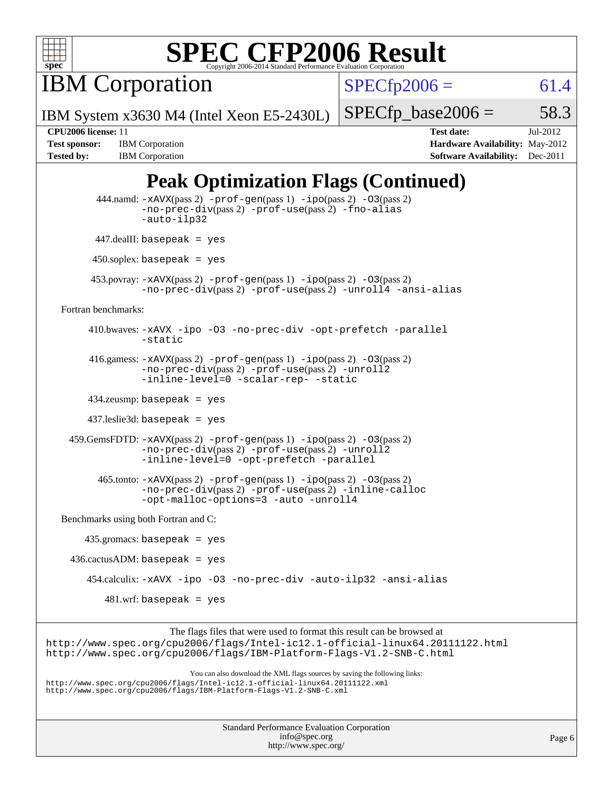

**IBM Corporation** 

 $SPECfp2006 = 61.4$  $SPECfp2006 = 61.4$ 

IBM System x3630 M4 (Intel Xeon E5-2430L)

 $SPECTp\_base2006 = 58.3$ 

**[Tested by:](http://www.spec.org/auto/cpu2006/Docs/result-fields.html#Testedby)** IBM Corporation **[Software Availability:](http://www.spec.org/auto/cpu2006/Docs/result-fields.html#SoftwareAvailability)** Dec-2011

**[CPU2006 license:](http://www.spec.org/auto/cpu2006/Docs/result-fields.html#CPU2006license)** 11 **[Test date:](http://www.spec.org/auto/cpu2006/Docs/result-fields.html#Testdate)** Jul-2012 **[Test sponsor:](http://www.spec.org/auto/cpu2006/Docs/result-fields.html#Testsponsor)** IBM Corporation **[Hardware Availability:](http://www.spec.org/auto/cpu2006/Docs/result-fields.html#HardwareAvailability)** May-2012

## **[Peak Optimization Flags \(Continued\)](http://www.spec.org/auto/cpu2006/Docs/result-fields.html#PeakOptimizationFlags)**

|                                      | 444.namd: -xAVX(pass 2) -prof-gen(pass 1) -ipo(pass 2) -03(pass 2)<br>$-no\text{-prec-div}(pass 2)$ -prof-use(pass 2) -fno-alias<br>-auto-ilp32                                                                                   |
|--------------------------------------|-----------------------------------------------------------------------------------------------------------------------------------------------------------------------------------------------------------------------------------|
|                                      | $447$ .dealII: basepeak = yes                                                                                                                                                                                                     |
|                                      | $450$ .soplex: basepeak = yes                                                                                                                                                                                                     |
|                                      | $453.$ povray: $-xAVX(pass 2)$ -prof-gen(pass 1) -ipo(pass 2) -03(pass 2)<br>-no-prec-div(pass 2) -prof-use(pass 2) -unroll4 -ansi-alias                                                                                          |
| Fortran benchmarks:                  |                                                                                                                                                                                                                                   |
|                                      | 410.bwaves: -xAVX -ipo -03 -no-prec-div -opt-prefetch -parallel<br>$-static$                                                                                                                                                      |
|                                      | 416.gamess: $-xAVX(pass 2)$ -prof-gen(pass 1) -ipo(pass 2) -03(pass 2)<br>-no-prec-div(pass 2) -prof-use(pass 2) -unroll2<br>-inline-level=0 -scalar-rep- -static                                                                 |
|                                      | $434$ .zeusmp: basepeak = yes                                                                                                                                                                                                     |
|                                      | $437$ .leslie3d: basepeak = yes                                                                                                                                                                                                   |
|                                      | $459.GemsFDTD: -xAVX(pass 2) -proj-gen(pass 1) -ipo(pass 2) -03(pass 2)$<br>-no-prec-div(pass 2) -prof-use(pass 2) -unroll2<br>-inline-level=0 -opt-prefetch -parallel                                                            |
|                                      | $465$ .tonto: $-x$ AVX(pass 2) $-prof-gen(pass 1) -ipo(pass 2) -03(pass 2)$<br>-no-prec-div(pass 2) -prof-use(pass 2) -inline-calloc<br>-opt-malloc-options=3 -auto -unroll4                                                      |
| Benchmarks using both Fortran and C: |                                                                                                                                                                                                                                   |
|                                      | $435.gromacs: basepeak = yes$                                                                                                                                                                                                     |
|                                      | $436.cactusADM: basepeak = yes$                                                                                                                                                                                                   |
|                                      | 454.calculix: -xAVX -ipo -03 -no-prec-div -auto-ilp32 -ansi-alias                                                                                                                                                                 |
|                                      | $481.wrf$ : basepeak = yes                                                                                                                                                                                                        |
|                                      | The flags files that were used to format this result can be browsed at                                                                                                                                                            |
|                                      | http://www.spec.org/cpu2006/flags/Intel-ic12.1-official-linux64.20111122.html<br>http://www.spec.org/cpu2006/flags/IBM-Platform-Flags-V1.2-SNB-C.html                                                                             |
|                                      | You can also download the XML flags sources by saving the following links:<br>http://www.spec.org/cpu2006/flags/Intel-icl2.1-official-linux64.20111122.xml<br>http://www.spec.org/cpu2006/flags/IBM-Platform-Flags-V1.2-SNB-C.xml |